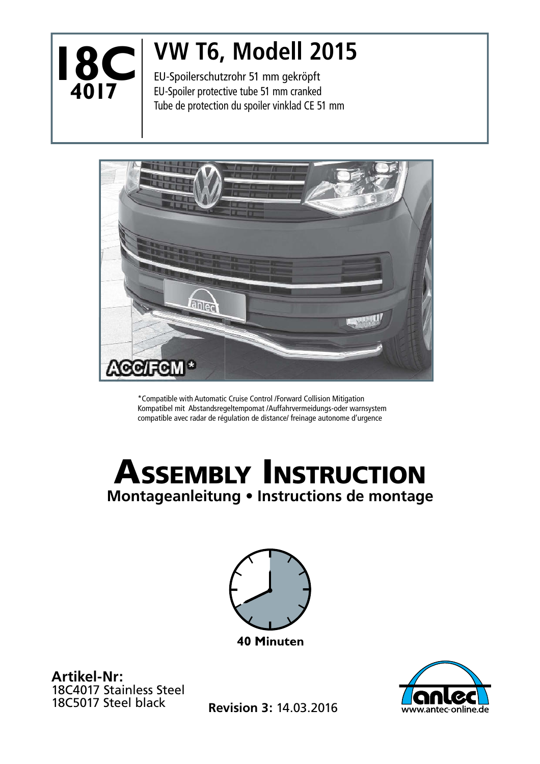

## **VW T6, Modell 2015**

EU-Spoilerschutzrohr 51 mm gekröpft EU-Spoiler protective tube 51 mm cranked Tube de protection du spoiler vinklad CE 51 mm



\*Compatible with Automatic Cruise Control /Forward Collision Mitigation Kompatibel mit Abstandsregeltempomat /Auffahrvermeidungs-oder warnsystem compatible avec radar de régulation de distance/ freinage autonome d'urgence

## ASSEMBLY INSTRUCTION **Montageanleitung • Instructions de montage**



**Artikel-Nr:** 18C4017 Stainless Steel<br>18C5017 Steel black



18C5017 Steel black **Revision 3:** 14.03.2016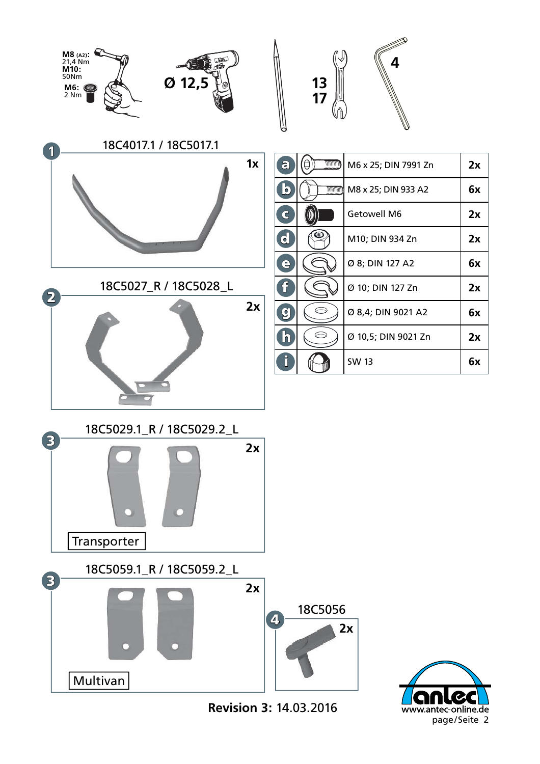

**Revision 3:** 14.03.2016

www.antec-online.de page/Seite 2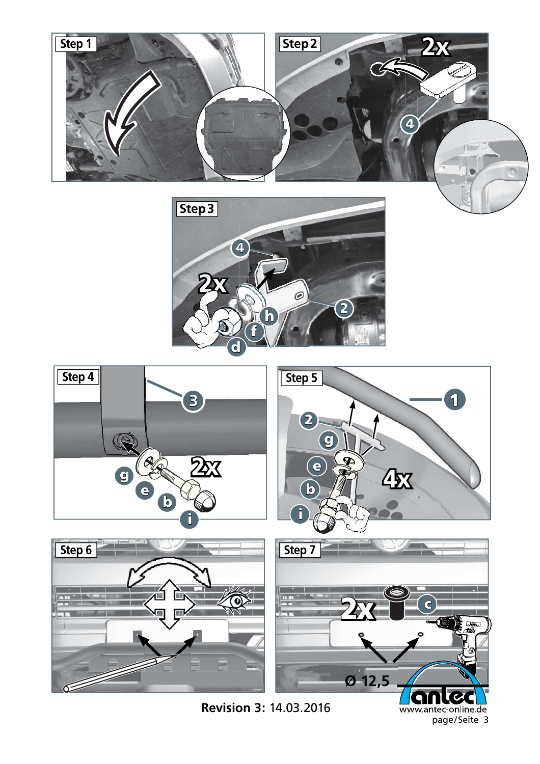

**Step 3** 4 **2x**  $\mathcal{O}$ 2 h f d



**Revision 3:** 14.03.2016

www.antec-online.de page/Seite 3